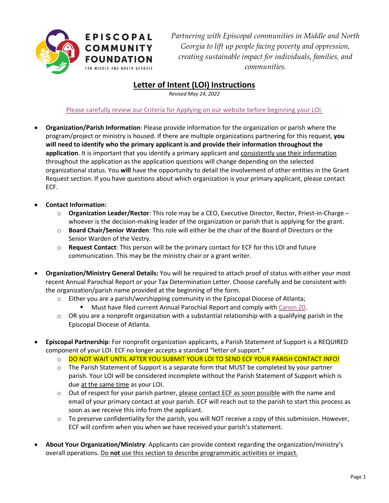

*Partnering with Episcopal communities in Middle and North Georgia to lift up people facing poverty and oppression, creating sustainable impact for individuals, families, and communities.*

## **Letter of Intent (LOI) Instructions**

*Revised May 24, 2022*

## [Please carefully review our Criteria for Applying on our website before beginning](https://episcopalcommunityfoundation.org/apply-for-a-grant/learn-about-our-grants/) your LOI.

- **Organization/Parish Information**: Please provide information for the organization or parish where the program/project or ministry is housed. If there are multiple organizations partnering for this request, **you will need to identify who the primary applicant is and provide their information throughout the application**. It is important that you identify a primary applicant and consistently use their information throughout the application as the application questions will change depending on the selected organizational status. You **will** have the opportunity to detail the involvement of other entities in the Grant Request section. If you have questions about which organization is your primary applicant, please contact ECF.
- **Contact Information:** 
	- o **Organization Leader/Rector**: This role may be a CEO, Executive Director, Rector, Priest-in-Charge whoever is the decision-making leader of the organization or parish that is applying for the grant.
	- o **Board Chair/Senior Warden**: This role will either be the chair of the Board of Directors or the Senior Warden of the Vestry.
	- o **Request Contact**: This person will be the primary contact for ECF for this LOI and future communication. This may be the ministry chair or a grant writer.
- **Organization/Ministry General Details:** You will be required to attach proof of status with either your most recent Annual Parochial Report or your Tax Determination Letter. Choose carefully and be consistent with the organization/parish name provided at the beginning of the form.
	- $\circ$  Either you are a parish/worshipping community in the Episcopal Diocese of Atlanta;
		- Must have filed current Annual Parochial Report and comply with [Canon 20.](https://episcopalatlanta.org/canon-20/)
	- $\circ$  OR you are a nonprofit organization with a substantial relationship with a qualifying parish in the Episcopal Diocese of Atlanta.
- **Episcopal Partnership**: For nonprofit organization applicants, a Parish Statement of Support is a REQUIRED component of your LOI. ECF no longer accepts a standard "letter of support."
	- o DO NOT WAIT UNTIL AFTER YOU SUBMIT YOUR LOI TO SEND ECF YOUR PARISH CONTACT INFO!
	- $\circ$  The Parish Statement of Support is a separate form that MUST be completed by your partner parish. Your LOI will be considered incomplete without the Parish Statement of Support which is due at the same time as your LOI.
	- $\circ$  Out of respect for your parish partner, please contact ECF as soon possible with the name and email of your primary contact at your parish. ECF will reach out to the parish to start this process as soon as we receive this info from the applicant.
	- $\circ$  To preserve confidentiality for the parish, you will NOT receive a copy of this submission. However, ECF will confirm when you when we have received your parish's statement.
- **About Your Organization/Ministry**: Applicants can provide context regarding the organization/ministry's overall operations. Do **not** use this section to describe programmatic activities or impact.